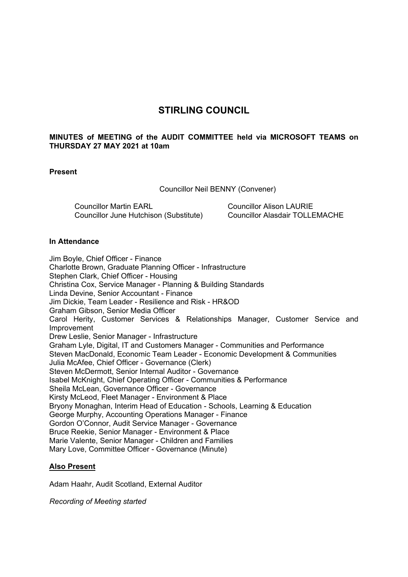# **STIRLING COUNCIL**

# **MINUTES of MEETING of the AUDIT COMMITTEE held via MICROSOFT TEAMS on THURSDAY 27 MAY 2021 at 10am**

### **Present**

Councillor Neil BENNY (Convener)

Councillor Martin EARL Councillor June Hutchison (Substitute) Councillor Alison LAURIE Councillor Alasdair TOLLEMACHE

### **In Attendance**

Jim Boyle, Chief Officer - Finance Charlotte Brown, Graduate Planning Officer - Infrastructure Stephen Clark, Chief Officer - Housing Christina Cox, Service Manager - Planning & Building Standards Linda Devine, Senior Accountant - Finance Jim Dickie, Team Leader - Resilience and Risk - HR&OD Graham Gibson, Senior Media Officer Carol Herity, Customer Services & Relationships Manager, Customer Service and Improvement Drew Leslie, Senior Manager - Infrastructure Graham Lyle, Digital, IT and Customers Manager - Communities and Performance Steven MacDonald, Economic Team Leader - Economic Development & Communities Julia McAfee, Chief Officer - Governance (Clerk) Steven McDermott, Senior Internal Auditor - Governance Isabel McKnight, Chief Operating Officer - Communities & Performance Sheila McLean, Governance Officer - Governance Kirsty McLeod, Fleet Manager - Environment & Place Bryony Monaghan, Interim Head of Education - Schools, Learning & Education George Murphy, Accounting Operations Manager - Finance Gordon O'Connor, Audit Service Manager - Governance Bruce Reekie, Senior Manager - Environment & Place Marie Valente, Senior Manager - Children and Families Mary Love, Committee Officer - Governance (Minute)

# **Also Present**

Adam Haahr, Audit Scotland, External Auditor

*Recording of Meeting started*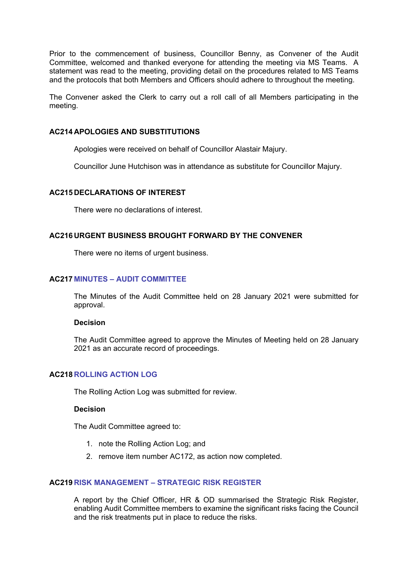Prior to the commencement of business, Councillor Benny, as Convener of the Audit Committee, welcomed and thanked everyone for attending the meeting via MS Teams. A statement was read to the meeting, providing detail on the procedures related to MS Teams and the protocols that both Members and Officers should adhere to throughout the meeting.

The Convener asked the Clerk to carry out a roll call of all Members participating in the meeting.

### **AC214 APOLOGIES AND SUBSTITUTIONS**

Apologies were received on behalf of Councillor Alastair Majury.

Councillor June Hutchison was in attendance as substitute for Councillor Majury.

### **AC215 DECLARATIONS OF INTEREST**

There were no declarations of interest.

### **AC216 URGENT BUSINESS BROUGHT FORWARD BY THE CONVENER**

There were no items of urgent business.

### **AC217 MINUTES – AUDIT COMMITTEE**

The Minutes of the Audit Committee held on 28 January 2021 were submitted for approval.

#### **Decision**

The Audit Committee agreed to approve the Minutes of Meeting held on 28 January 2021 as an accurate record of proceedings.

# **AC218 ROLLING ACTION LOG**

The Rolling Action Log was submitted for review.

# **Decision**

The Audit Committee agreed to:

- 1. note the Rolling Action Log; and
- 2. remove item number AC172, as action now completed.

#### **AC219 RISK MANAGEMENT – STRATEGIC RISK REGISTER**

A report by the Chief Officer, HR & OD summarised the Strategic Risk Register, enabling Audit Committee members to examine the significant risks facing the Council and the risk treatments put in place to reduce the risks.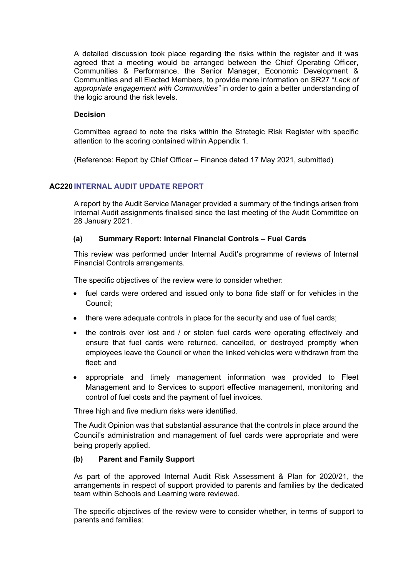A detailed discussion took place regarding the risks within the register and it was agreed that a meeting would be arranged between the Chief Operating Officer, Communities & Performance, the Senior Manager, Economic Development & Communities and all Elected Members, to provide more information on SR27 "*Lack of appropriate engagement with Communities"* in order to gain a better understanding of the logic around the risk levels.

### **Decision**

Committee agreed to note the risks within the Strategic Risk Register with specific attention to the scoring contained within Appendix 1.

(Reference: Report by Chief Officer – Finance dated 17 May 2021, submitted)

# **AC220 INTERNAL AUDIT UPDATE REPORT**

A report by the Audit Service Manager provided a summary of the findings arisen from Internal Audit assignments finalised since the last meeting of the Audit Committee on 28 January 2021.

### **(a) Summary Report: Internal Financial Controls – Fuel Cards**

This review was performed under Internal Audit's programme of reviews of Internal Financial Controls arrangements.

The specific objectives of the review were to consider whether:

- fuel cards were ordered and issued only to bona fide staff or for vehicles in the Council;
- there were adequate controls in place for the security and use of fuel cards;
- the controls over lost and / or stolen fuel cards were operating effectively and ensure that fuel cards were returned, cancelled, or destroyed promptly when employees leave the Council or when the linked vehicles were withdrawn from the fleet; and
- appropriate and timely management information was provided to Fleet Management and to Services to support effective management, monitoring and control of fuel costs and the payment of fuel invoices.

Three high and five medium risks were identified.

The Audit Opinion was that substantial assurance that the controls in place around the Council's administration and management of fuel cards were appropriate and were being properly applied.

# **(b) Parent and Family Support**

As part of the approved Internal Audit Risk Assessment & Plan for 2020/21, the arrangements in respect of support provided to parents and families by the dedicated team within Schools and Learning were reviewed.

The specific objectives of the review were to consider whether, in terms of support to parents and families: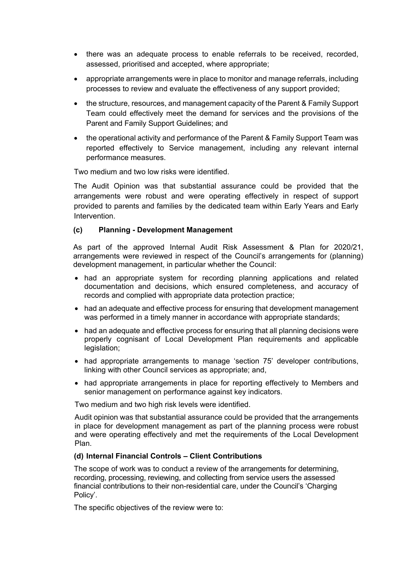- there was an adequate process to enable referrals to be received, recorded, assessed, prioritised and accepted, where appropriate;
- appropriate arrangements were in place to monitor and manage referrals, including processes to review and evaluate the effectiveness of any support provided;
- the structure, resources, and management capacity of the Parent & Family Support Team could effectively meet the demand for services and the provisions of the Parent and Family Support Guidelines; and
- the operational activity and performance of the Parent & Family Support Team was reported effectively to Service management, including any relevant internal performance measures.

Two medium and two low risks were identified.

The Audit Opinion was that substantial assurance could be provided that the arrangements were robust and were operating effectively in respect of support provided to parents and families by the dedicated team within Early Years and Early Intervention.

### **(c) Planning - Development Management**

As part of the approved Internal Audit Risk Assessment & Plan for 2020/21, arrangements were reviewed in respect of the Council's arrangements for (planning) development management, in particular whether the Council:

- had an appropriate system for recording planning applications and related documentation and decisions, which ensured completeness, and accuracy of records and complied with appropriate data protection practice;
- had an adequate and effective process for ensuring that development management was performed in a timely manner in accordance with appropriate standards;
- had an adequate and effective process for ensuring that all planning decisions were properly cognisant of Local Development Plan requirements and applicable legislation;
- had appropriate arrangements to manage 'section 75' developer contributions, linking with other Council services as appropriate; and,
- had appropriate arrangements in place for reporting effectively to Members and senior management on performance against key indicators.

Two medium and two high risk levels were identified.

Audit opinion was that substantial assurance could be provided that the arrangements in place for development management as part of the planning process were robust and were operating effectively and met the requirements of the Local Development Plan.

#### **(d) Internal Financial Controls – Client Contributions**

The scope of work was to conduct a review of the arrangements for determining, recording, processing, reviewing, and collecting from service users the assessed financial contributions to their non-residential care, under the Council's 'Charging Policy'.

The specific objectives of the review were to: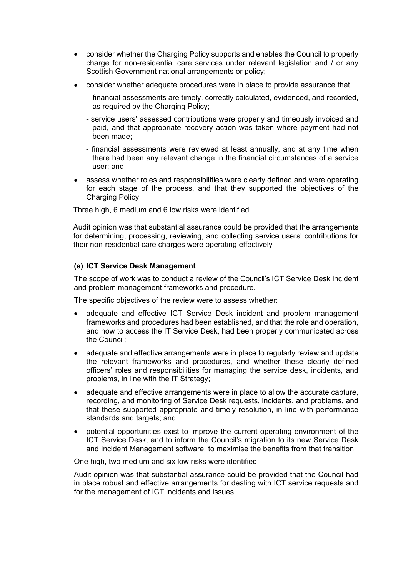- consider whether the Charging Policy supports and enables the Council to properly charge for non-residential care services under relevant legislation and / or any Scottish Government national arrangements or policy;
- consider whether adequate procedures were in place to provide assurance that:
	- financial assessments are timely, correctly calculated, evidenced, and recorded, as required by the Charging Policy;
	- service users' assessed contributions were properly and timeously invoiced and paid, and that appropriate recovery action was taken where payment had not been made;
	- financial assessments were reviewed at least annually, and at any time when there had been any relevant change in the financial circumstances of a service user; and
- assess whether roles and responsibilities were clearly defined and were operating for each stage of the process, and that they supported the objectives of the Charging Policy.

Three high, 6 medium and 6 low risks were identified.

Audit opinion was that substantial assurance could be provided that the arrangements for determining, processing, reviewing, and collecting service users' contributions for their non-residential care charges were operating effectively

# **(e) ICT Service Desk Management**

The scope of work was to conduct a review of the Council's ICT Service Desk incident and problem management frameworks and procedure.

The specific objectives of the review were to assess whether:

- adequate and effective ICT Service Desk incident and problem management frameworks and procedures had been established, and that the role and operation, and how to access the IT Service Desk, had been properly communicated across the Council;
- adequate and effective arrangements were in place to regularly review and update the relevant frameworks and procedures, and whether these clearly defined officers' roles and responsibilities for managing the service desk, incidents, and problems, in line with the IT Strategy;
- adequate and effective arrangements were in place to allow the accurate capture, recording, and monitoring of Service Desk requests, incidents, and problems, and that these supported appropriate and timely resolution, in line with performance standards and targets; and
- potential opportunities exist to improve the current operating environment of the ICT Service Desk, and to inform the Council's migration to its new Service Desk and Incident Management software, to maximise the benefits from that transition.

One high, two medium and six low risks were identified.

Audit opinion was that substantial assurance could be provided that the Council had in place robust and effective arrangements for dealing with ICT service requests and for the management of ICT incidents and issues.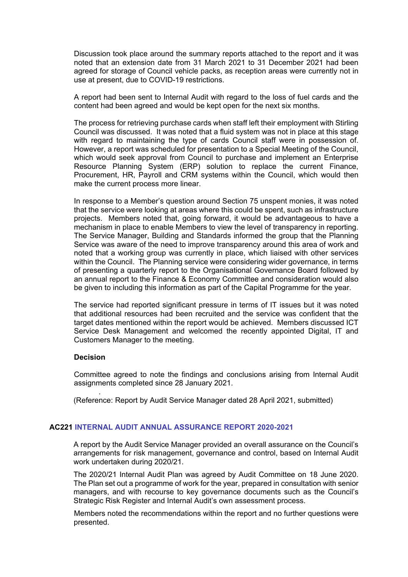Discussion took place around the summary reports attached to the report and it was noted that an extension date from 31 March 2021 to 31 December 2021 had been agreed for storage of Council vehicle packs, as reception areas were currently not in use at present, due to COVID-19 restrictions.

A report had been sent to Internal Audit with regard to the loss of fuel cards and the content had been agreed and would be kept open for the next six months.

The process for retrieving purchase cards when staff left their employment with Stirling Council was discussed. It was noted that a fluid system was not in place at this stage with regard to maintaining the type of cards Council staff were in possession of. However, a report was scheduled for presentation to a Special Meeting of the Council, which would seek approval from Council to purchase and implement an Enterprise Resource Planning System (ERP) solution to replace the current Finance, Procurement, HR, Payroll and CRM systems within the Council, which would then make the current process more linear.

In response to a Member's question around Section 75 unspent monies, it was noted that the service were looking at areas where this could be spent, such as infrastructure projects. Members noted that, going forward, it would be advantageous to have a mechanism in place to enable Members to view the level of transparency in reporting. The Service Manager, Building and Standards informed the group that the Planning Service was aware of the need to improve transparency around this area of work and noted that a working group was currently in place, which liaised with other services within the Council. The Planning service were considering wider governance, in terms of presenting a quarterly report to the Organisational Governance Board followed by an annual report to the Finance & Economy Committee and consideration would also be given to including this information as part of the Capital Programme for the year.

The service had reported significant pressure in terms of IT issues but it was noted that additional resources had been recruited and the service was confident that the target dates mentioned within the report would be achieved. Members discussed ICT Service Desk Management and welcomed the recently appointed Digital, IT and Customers Manager to the meeting.

# **Decision**

.

Committee agreed to note the findings and conclusions arising from Internal Audit assignments completed since 28 January 2021.

(Reference: Report by Audit Service Manager dated 28 April 2021, submitted)

### **AC221 INTERNAL AUDIT ANNUAL ASSURANCE REPORT 2020-2021**

A report by the Audit Service Manager provided an overall assurance on the Council's arrangements for risk management, governance and control, based on Internal Audit work undertaken during 2020/21.

The 2020/21 Internal Audit Plan was agreed by Audit Committee on 18 June 2020. The Plan set out a programme of work for the year, prepared in consultation with senior managers, and with recourse to key governance documents such as the Council's Strategic Risk Register and Internal Audit's own assessment process.

Members noted the recommendations within the report and no further questions were presented.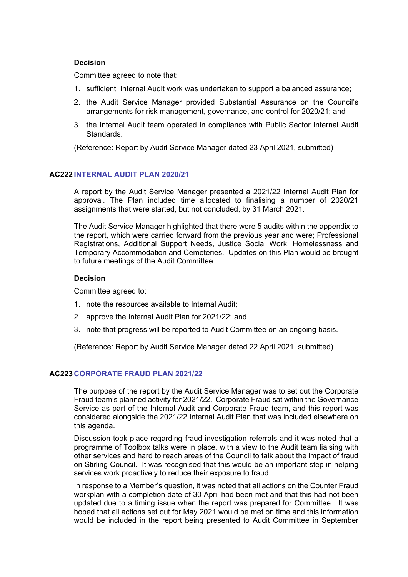### **Decision**

Committee agreed to note that:

- 1. sufficient Internal Audit work was undertaken to support a balanced assurance;
- 2. the Audit Service Manager provided Substantial Assurance on the Council's arrangements for risk management, governance, and control for 2020/21; and
- 3. the Internal Audit team operated in compliance with Public Sector Internal Audit Standards.

(Reference: Report by Audit Service Manager dated 23 April 2021, submitted)

### **AC222 INTERNAL AUDIT PLAN 2020/21**

A report by the Audit Service Manager presented a 2021/22 Internal Audit Plan for approval. The Plan included time allocated to finalising a number of 2020/21 assignments that were started, but not concluded, by 31 March 2021.

The Audit Service Manager highlighted that there were 5 audits within the appendix to the report, which were carried forward from the previous year and were; Professional Registrations, Additional Support Needs, Justice Social Work, Homelessness and Temporary Accommodation and Cemeteries. Updates on this Plan would be brought to future meetings of the Audit Committee.

### **Decision**

Committee agreed to:

- 1. note the resources available to Internal Audit;
- 2. approve the Internal Audit Plan for 2021/22; and
- 3. note that progress will be reported to Audit Committee on an ongoing basis.

(Reference: Report by Audit Service Manager dated 22 April 2021, submitted)

# **AC223 CORPORATE FRAUD PLAN 2021/22**

The purpose of the report by the Audit Service Manager was to set out the Corporate Fraud team's planned activity for 2021/22. Corporate Fraud sat within the Governance Service as part of the Internal Audit and Corporate Fraud team, and this report was considered alongside the 2021/22 Internal Audit Plan that was included elsewhere on this agenda.

Discussion took place regarding fraud investigation referrals and it was noted that a programme of Toolbox talks were in place, with a view to the Audit team liaising with other services and hard to reach areas of the Council to talk about the impact of fraud on Stirling Council. It was recognised that this would be an important step in helping services work proactively to reduce their exposure to fraud.

In response to a Member's question, it was noted that all actions on the Counter Fraud workplan with a completion date of 30 April had been met and that this had not been updated due to a timing issue when the report was prepared for Committee. It was hoped that all actions set out for May 2021 would be met on time and this information would be included in the report being presented to Audit Committee in September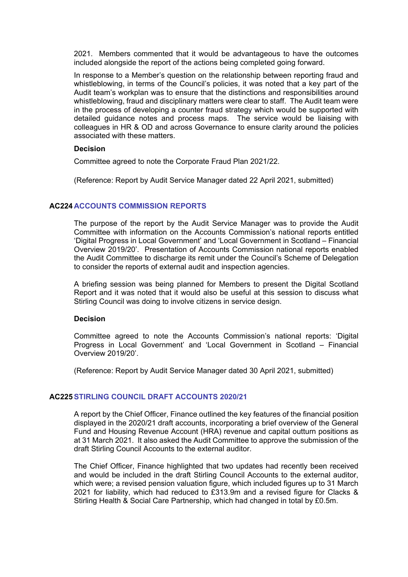2021. Members commented that it would be advantageous to have the outcomes included alongside the report of the actions being completed going forward.

In response to a Member's question on the relationship between reporting fraud and whistleblowing, in terms of the Council's policies, it was noted that a key part of the Audit team's workplan was to ensure that the distinctions and responsibilities around whistleblowing, fraud and disciplinary matters were clear to staff. The Audit team were in the process of developing a counter fraud strategy which would be supported with detailed guidance notes and process maps. The service would be liaising with colleagues in HR & OD and across Governance to ensure clarity around the policies associated with these matters.

### **Decision**

Committee agreed to note the Corporate Fraud Plan 2021/22.

(Reference: Report by Audit Service Manager dated 22 April 2021, submitted)

# **AC224 ACCOUNTS COMMISSION REPORTS**

The purpose of the report by the Audit Service Manager was to provide the Audit Committee with information on the Accounts Commission's national reports entitled 'Digital Progress in Local Government' and 'Local Government in Scotland – Financial Overview 2019/20'. Presentation of Accounts Commission national reports enabled the Audit Committee to discharge its remit under the Council's Scheme of Delegation to consider the reports of external audit and inspection agencies.

A briefing session was being planned for Members to present the Digital Scotland Report and it was noted that it would also be useful at this session to discuss what Stirling Council was doing to involve citizens in service design.

#### **Decision**

Committee agreed to note the Accounts Commission's national reports: 'Digital Progress in Local Government' and 'Local Government in Scotland – Financial Overview 2019/20'.

(Reference: Report by Audit Service Manager dated 30 April 2021, submitted)

# **AC225STIRLING COUNCIL DRAFT ACCOUNTS 2020/21**

A report by the Chief Officer, Finance outlined the key features of the financial position displayed in the 2020/21 draft accounts, incorporating a brief overview of the General Fund and Housing Revenue Account (HRA) revenue and capital outturn positions as at 31 March 2021. It also asked the Audit Committee to approve the submission of the draft Stirling Council Accounts to the external auditor.

The Chief Officer, Finance highlighted that two updates had recently been received and would be included in the draft Stirling Council Accounts to the external auditor, which were; a revised pension valuation figure, which included figures up to 31 March 2021 for liability, which had reduced to  $£313.9m$  and a revised figure for Clacks & Stirling Health & Social Care Partnership, which had changed in total by £0.5m.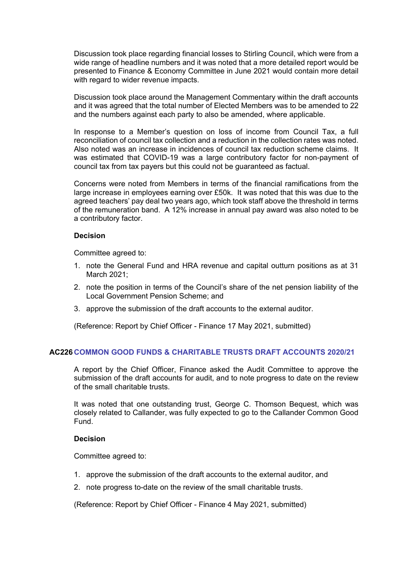Discussion took place regarding financial losses to Stirling Council, which were from a wide range of headline numbers and it was noted that a more detailed report would be presented to Finance & Economy Committee in June 2021 would contain more detail with regard to wider revenue impacts.

Discussion took place around the Management Commentary within the draft accounts and it was agreed that the total number of Elected Members was to be amended to 22 and the numbers against each party to also be amended, where applicable.

In response to a Member's question on loss of income from Council Tax, a full reconciliation of council tax collection and a reduction in the collection rates was noted. Also noted was an increase in incidences of council tax reduction scheme claims. It was estimated that COVID-19 was a large contributory factor for non-payment of council tax from tax payers but this could not be guaranteed as factual.

Concerns were noted from Members in terms of the financial ramifications from the large increase in employees earning over £50k. It was noted that this was due to the agreed teachers' pay deal two years ago, which took staff above the threshold in terms of the remuneration band. A 12% increase in annual pay award was also noted to be a contributory factor.

### **Decision**

Committee agreed to:

- 1. note the General Fund and HRA revenue and capital outturn positions as at 31 March 2021;
- 2. note the position in terms of the Council's share of the net pension liability of the Local Government Pension Scheme; and
- 3. approve the submission of the draft accounts to the external auditor.

(Reference: Report by Chief Officer - Finance 17 May 2021, submitted)

# **AC226 COMMON GOOD FUNDS & CHARITABLE TRUSTS DRAFT ACCOUNTS 2020/21**

A report by the Chief Officer, Finance asked the Audit Committee to approve the submission of the draft accounts for audit, and to note progress to date on the review of the small charitable trusts.

It was noted that one outstanding trust, George C. Thomson Bequest, which was closely related to Callander, was fully expected to go to the Callander Common Good Fund.

#### **Decision**

Committee agreed to:

- 1. approve the submission of the draft accounts to the external auditor, and
- 2. note progress to-date on the review of the small charitable trusts.

(Reference: Report by Chief Officer - Finance 4 May 2021, submitted)